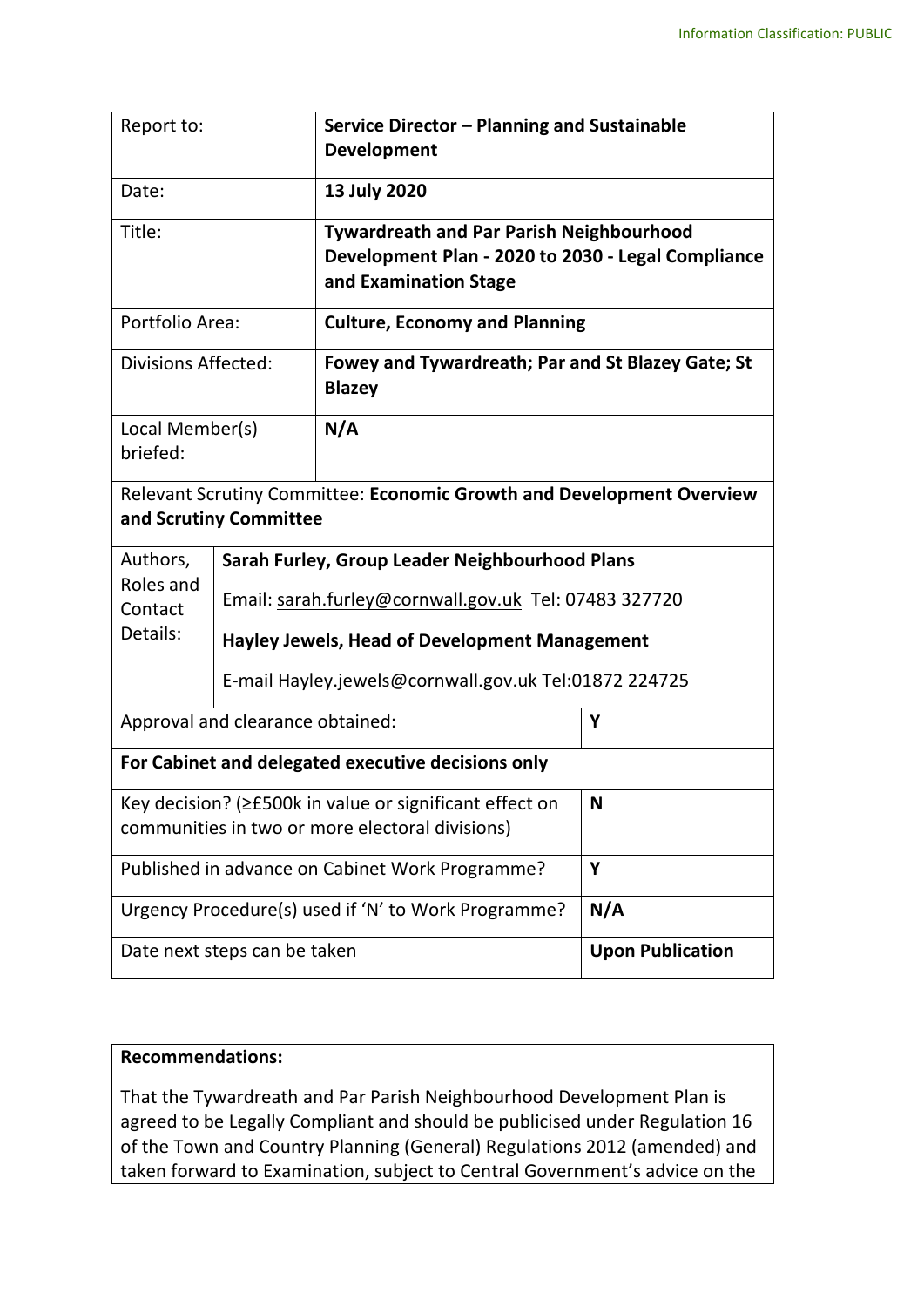| Report to:                                                                                                 |                                                       | Service Director - Planning and Sustainable<br><b>Development</b>                                                              |                         |  |  |
|------------------------------------------------------------------------------------------------------------|-------------------------------------------------------|--------------------------------------------------------------------------------------------------------------------------------|-------------------------|--|--|
| Date:                                                                                                      |                                                       | 13 July 2020                                                                                                                   |                         |  |  |
| Title:                                                                                                     |                                                       | <b>Tywardreath and Par Parish Neighbourhood</b><br>Development Plan - 2020 to 2030 - Legal Compliance<br>and Examination Stage |                         |  |  |
| Portfolio Area:                                                                                            |                                                       | <b>Culture, Economy and Planning</b>                                                                                           |                         |  |  |
| <b>Divisions Affected:</b>                                                                                 |                                                       | Fowey and Tywardreath; Par and St Blazey Gate; St<br><b>Blazey</b>                                                             |                         |  |  |
| Local Member(s)<br>briefed:                                                                                |                                                       | N/A                                                                                                                            |                         |  |  |
| Relevant Scrutiny Committee: Economic Growth and Development Overview<br>and Scrutiny Committee            |                                                       |                                                                                                                                |                         |  |  |
| Authors,<br>Roles and<br>Contact<br>Details:                                                               |                                                       | Sarah Furley, Group Leader Neighbourhood Plans                                                                                 |                         |  |  |
|                                                                                                            |                                                       | Email: sarah.furley@cornwall.gov.uk Tel: 07483 327720                                                                          |                         |  |  |
|                                                                                                            | Hayley Jewels, Head of Development Management         |                                                                                                                                |                         |  |  |
|                                                                                                            | E-mail Hayley.jewels@cornwall.gov.uk Tel:01872 224725 |                                                                                                                                |                         |  |  |
| Approval and clearance obtained:                                                                           |                                                       |                                                                                                                                | Υ                       |  |  |
| For Cabinet and delegated executive decisions only                                                         |                                                       |                                                                                                                                |                         |  |  |
| Key decision? (≥£500k in value or significant effect on<br>communities in two or more electoral divisions) |                                                       |                                                                                                                                | N                       |  |  |
| Published in advance on Cabinet Work Programme?                                                            |                                                       |                                                                                                                                | Y                       |  |  |
| Urgency Procedure(s) used if 'N' to Work Programme?                                                        |                                                       |                                                                                                                                | N/A                     |  |  |
| Date next steps can be taken                                                                               |                                                       |                                                                                                                                | <b>Upon Publication</b> |  |  |

## **Recommendations:**

That the Tywardreath and Par Parish Neighbourhood Development Plan is agreed to be Legally Compliant and should be publicised under Regulation 16 of the Town and Country Planning (General) Regulations 2012 (amended) and taken forward to Examination, subject to Central Government's advice on the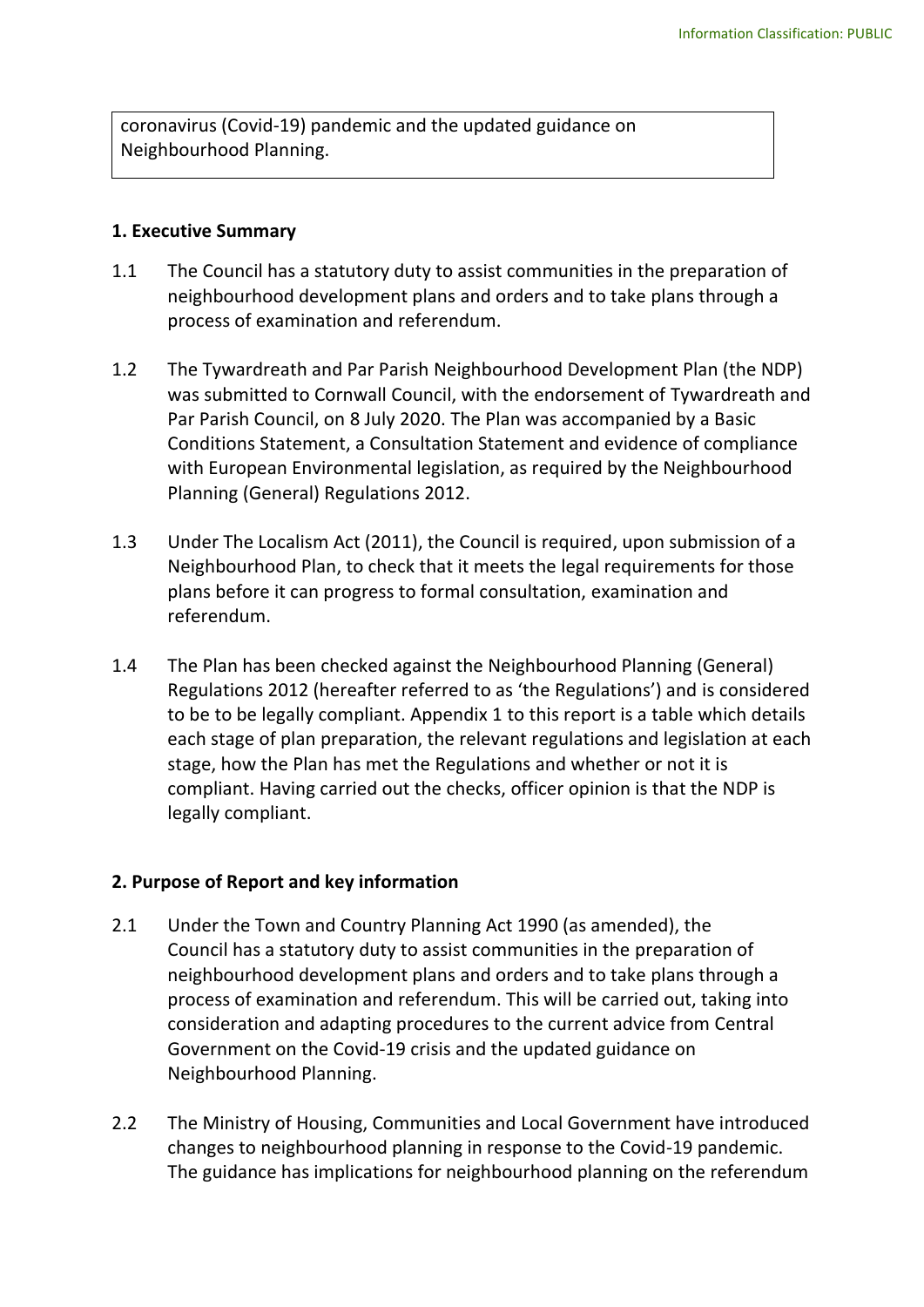coronavirus (Covid-19) pandemic and the updated guidance on Neighbourhood Planning.

#### **1. Executive Summary**

- 1.1 The Council has a statutory duty to assist communities in the preparation of neighbourhood development plans and orders and to take plans through a process of examination and referendum.
- 1.2 The Tywardreath and Par Parish Neighbourhood Development Plan (the NDP) was submitted to Cornwall Council, with the endorsement of Tywardreath and Par Parish Council, on 8 July 2020. The Plan was accompanied by a Basic Conditions Statement, a Consultation Statement and evidence of compliance with European Environmental legislation, as required by the Neighbourhood Planning (General) Regulations 2012.
- 1.3 Under The Localism Act (2011), the Council is required, upon submission of a Neighbourhood Plan, to check that it meets the legal requirements for those plans before it can progress to formal consultation, examination and referendum.
- 1.4 The Plan has been checked against the Neighbourhood Planning (General) Regulations 2012 (hereafter referred to as 'the Regulations') and is considered to be to be legally compliant. Appendix 1 to this report is a table which details each stage of plan preparation, the relevant regulations and legislation at each stage, how the Plan has met the Regulations and whether or not it is compliant. Having carried out the checks, officer opinion is that the NDP is legally compliant.

## **2. Purpose of Report and key information**

- 2.1 Under the Town and Country Planning Act 1990 (as amended), the Council has a statutory duty to assist communities in the preparation of neighbourhood development plans and orders and to take plans through a process of examination and referendum. This will be carried out, taking into consideration and adapting procedures to the current advice from Central Government on the Covid-19 crisis and the updated guidance on Neighbourhood Planning.
- 2.2 The Ministry of Housing, Communities and Local Government have introduced changes to neighbourhood planning in response to the Covid-19 pandemic. The guidance has implications for neighbourhood planning on the referendum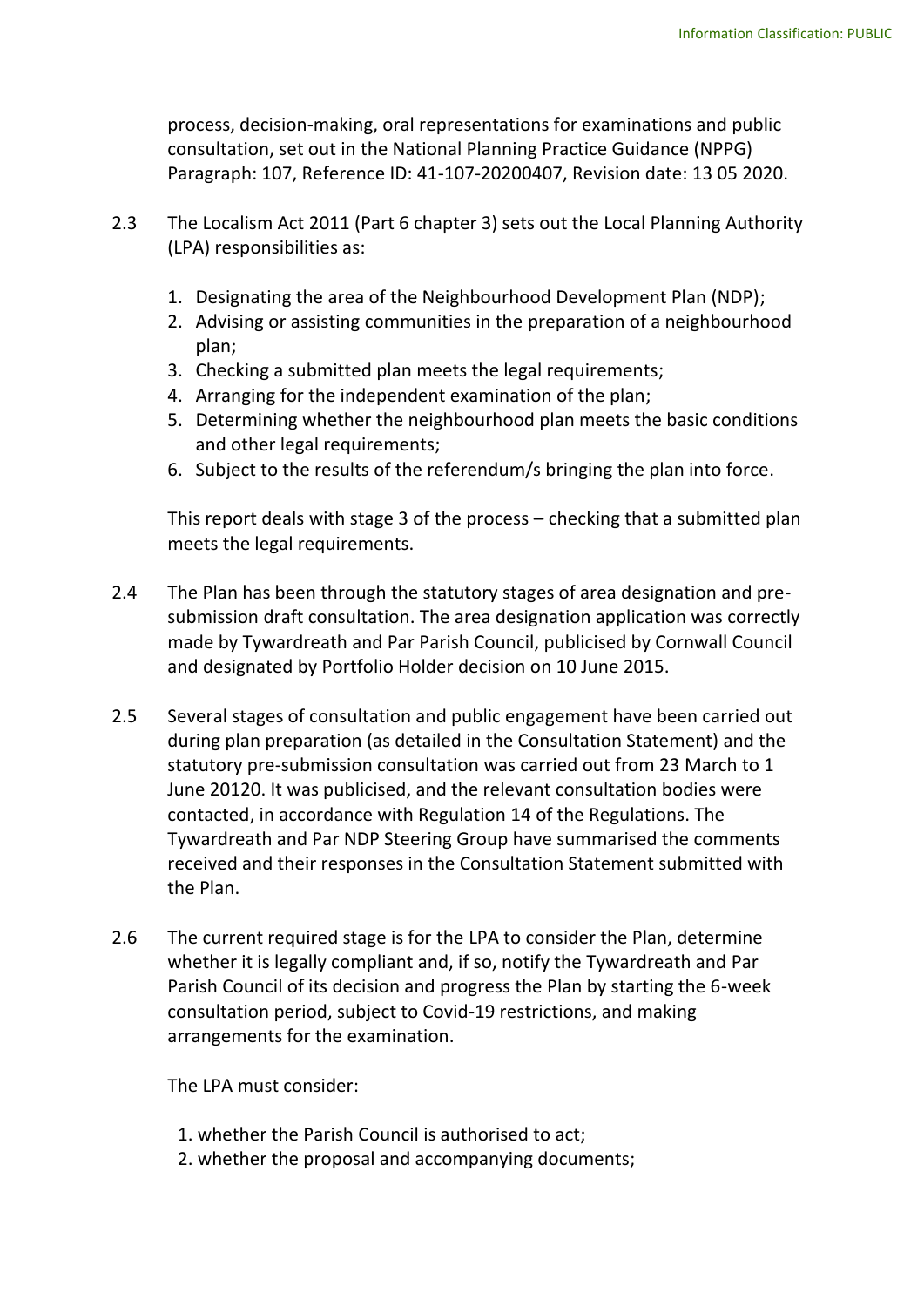process, decision-making, oral representations for examinations and public consultation, set out in the National Planning Practice Guidance (NPPG) Paragraph: 107, Reference ID: 41-107-20200407, Revision date: 13 05 2020.

- 2.3 The Localism Act 2011 (Part 6 chapter 3) sets out the Local Planning Authority (LPA) responsibilities as:
	- 1. Designating the area of the Neighbourhood Development Plan (NDP);
	- 2. Advising or assisting communities in the preparation of a neighbourhood plan;
	- 3. Checking a submitted plan meets the legal requirements;
	- 4. Arranging for the independent examination of the plan;
	- 5. Determining whether the neighbourhood plan meets the basic conditions and other legal requirements;
	- 6. Subject to the results of the referendum/s bringing the plan into force.

This report deals with stage 3 of the process – checking that a submitted plan meets the legal requirements.

- 2.4 The Plan has been through the statutory stages of area designation and presubmission draft consultation. The area designation application was correctly made by Tywardreath and Par Parish Council, publicised by Cornwall Council and designated by Portfolio Holder decision on 10 June 2015.
- 2.5 Several stages of consultation and public engagement have been carried out during plan preparation (as detailed in the Consultation Statement) and the statutory pre-submission consultation was carried out from 23 March to 1 June 20120. It was publicised, and the relevant consultation bodies were contacted, in accordance with Regulation 14 of the Regulations. The Tywardreath and Par NDP Steering Group have summarised the comments received and their responses in the Consultation Statement submitted with the Plan.
- 2.6 The current required stage is for the LPA to consider the Plan, determine whether it is legally compliant and, if so, notify the Tywardreath and Par Parish Council of its decision and progress the Plan by starting the 6-week consultation period, subject to Covid-19 restrictions, and making arrangements for the examination.

The LPA must consider:

- 1. whether the Parish Council is authorised to act;
- 2. whether the proposal and accompanying documents;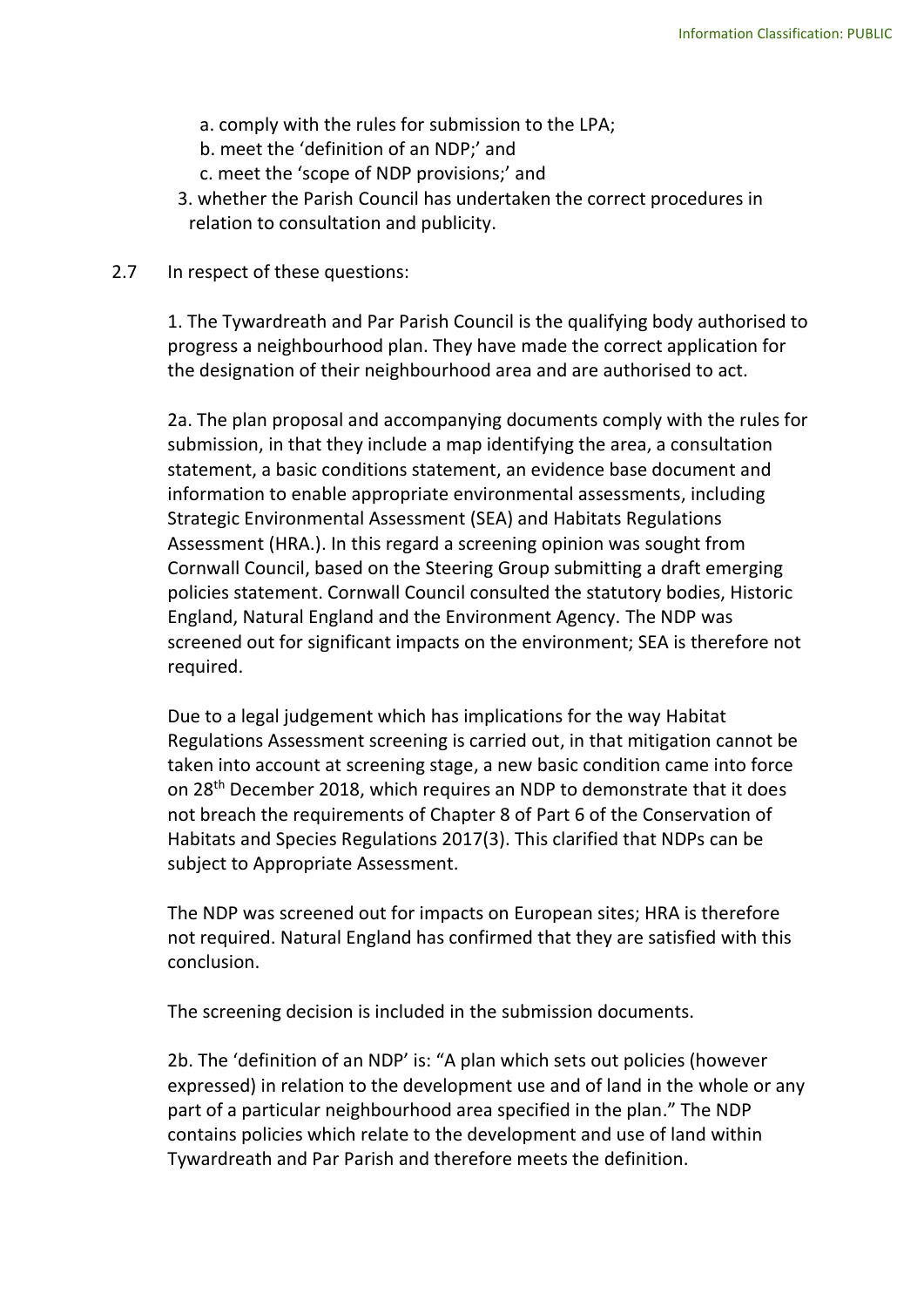- a. comply with the rules for submission to the LPA;
- b. meet the 'definition of an NDP;' and
- c. meet the 'scope of NDP provisions;' and
- 3. whether the Parish Council has undertaken the correct procedures in relation to consultation and publicity.

#### 2.7 In respect of these questions:

1. The Tywardreath and Par Parish Council is the qualifying body authorised to progress a neighbourhood plan. They have made the correct application for the designation of their neighbourhood area and are authorised to act.

2a. The plan proposal and accompanying documents comply with the rules for submission, in that they include a map identifying the area, a consultation statement, a basic conditions statement, an evidence base document and information to enable appropriate environmental assessments, including Strategic Environmental Assessment (SEA) and Habitats Regulations Assessment (HRA.). In this regard a screening opinion was sought from Cornwall Council, based on the Steering Group submitting a draft emerging policies statement. Cornwall Council consulted the statutory bodies, Historic England, Natural England and the Environment Agency. The NDP was screened out for significant impacts on the environment; SEA is therefore not required.

Due to a legal judgement which has implications for the way Habitat Regulations Assessment screening is carried out, in that mitigation cannot be taken into account at screening stage, a new basic condition came into force on 28th December 2018, which requires an NDP to demonstrate that it does not breach the requirements of Chapter 8 of Part 6 of the Conservation of Habitats and Species Regulations 2017(3). This clarified that NDPs can be subject to Appropriate Assessment.

The NDP was screened out for impacts on European sites; HRA is therefore not required. Natural England has confirmed that they are satisfied with this conclusion.

The screening decision is included in the submission documents.

2b. The 'definition of an NDP' is: "A plan which sets out policies (however expressed) in relation to the development use and of land in the whole or any part of a particular neighbourhood area specified in the plan." The NDP contains policies which relate to the development and use of land within Tywardreath and Par Parish and therefore meets the definition.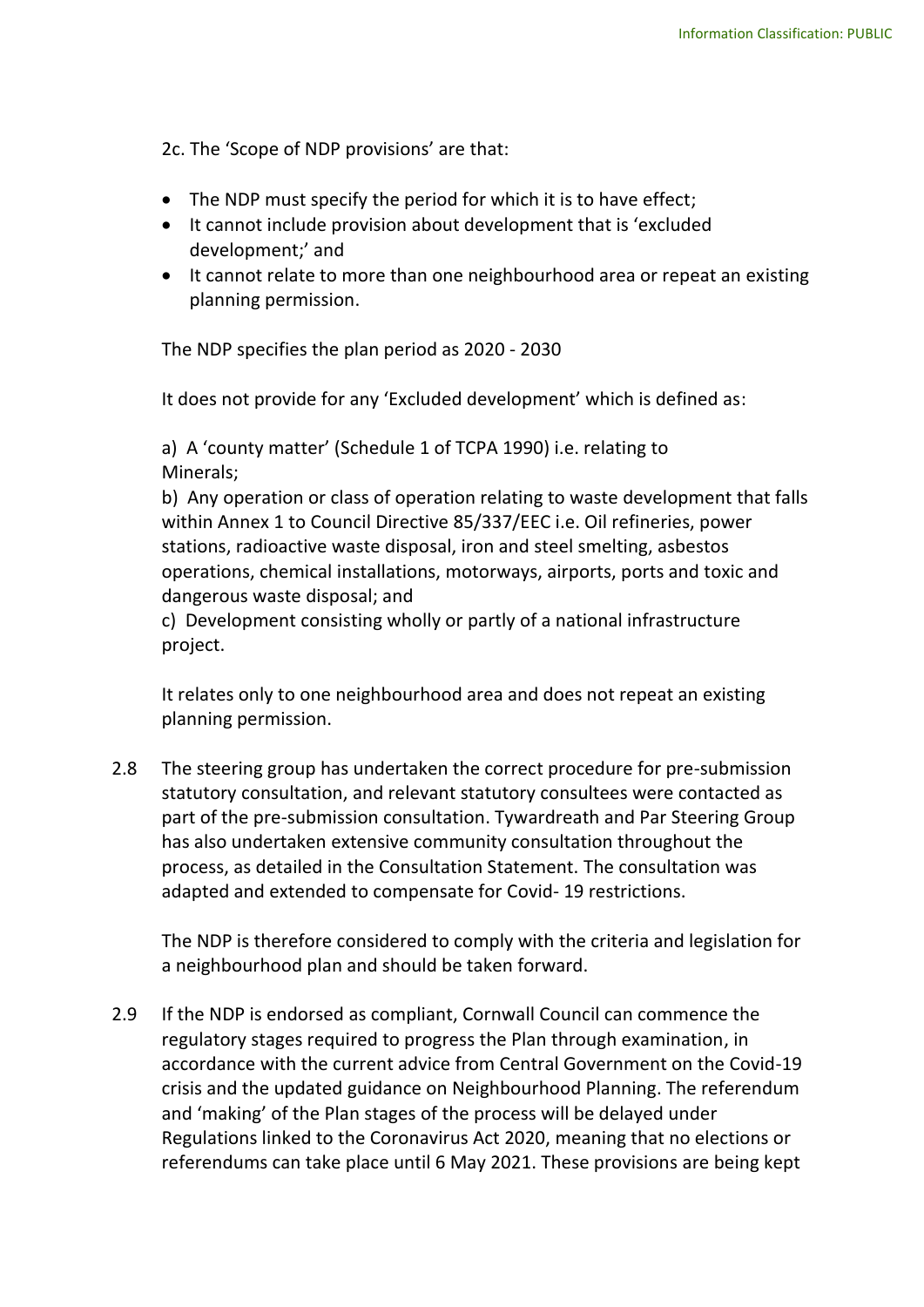2c. The 'Scope of NDP provisions' are that:

- The NDP must specify the period for which it is to have effect;
- It cannot include provision about development that is 'excluded development;' and
- It cannot relate to more than one neighbourhood area or repeat an existing planning permission.

The NDP specifies the plan period as 2020 - 2030

It does not provide for any 'Excluded development' which is defined as:

a) A 'county matter' (Schedule 1 of TCPA 1990) i.e. relating to Minerals;

b) Any operation or class of operation relating to waste development that falls within Annex 1 to Council Directive 85/337/EEC i.e. Oil refineries, power stations, radioactive waste disposal, iron and steel smelting, asbestos operations, chemical installations, motorways, airports, ports and toxic and dangerous waste disposal; and

c) Development consisting wholly or partly of a national infrastructure project.

It relates only to one neighbourhood area and does not repeat an existing planning permission.

2.8 The steering group has undertaken the correct procedure for pre-submission statutory consultation, and relevant statutory consultees were contacted as part of the pre-submission consultation. Tywardreath and Par Steering Group has also undertaken extensive community consultation throughout the process, as detailed in the Consultation Statement. The consultation was adapted and extended to compensate for Covid- 19 restrictions.

The NDP is therefore considered to comply with the criteria and legislation for a neighbourhood plan and should be taken forward.

2.9 If the NDP is endorsed as compliant, Cornwall Council can commence the regulatory stages required to progress the Plan through examination, in accordance with the current advice from Central Government on the Covid-19 crisis and the updated guidance on Neighbourhood Planning. The referendum and 'making' of the Plan stages of the process will be delayed under Regulations linked to the Coronavirus Act 2020, meaning that no elections or referendums can take place until 6 May 2021. These provisions are being kept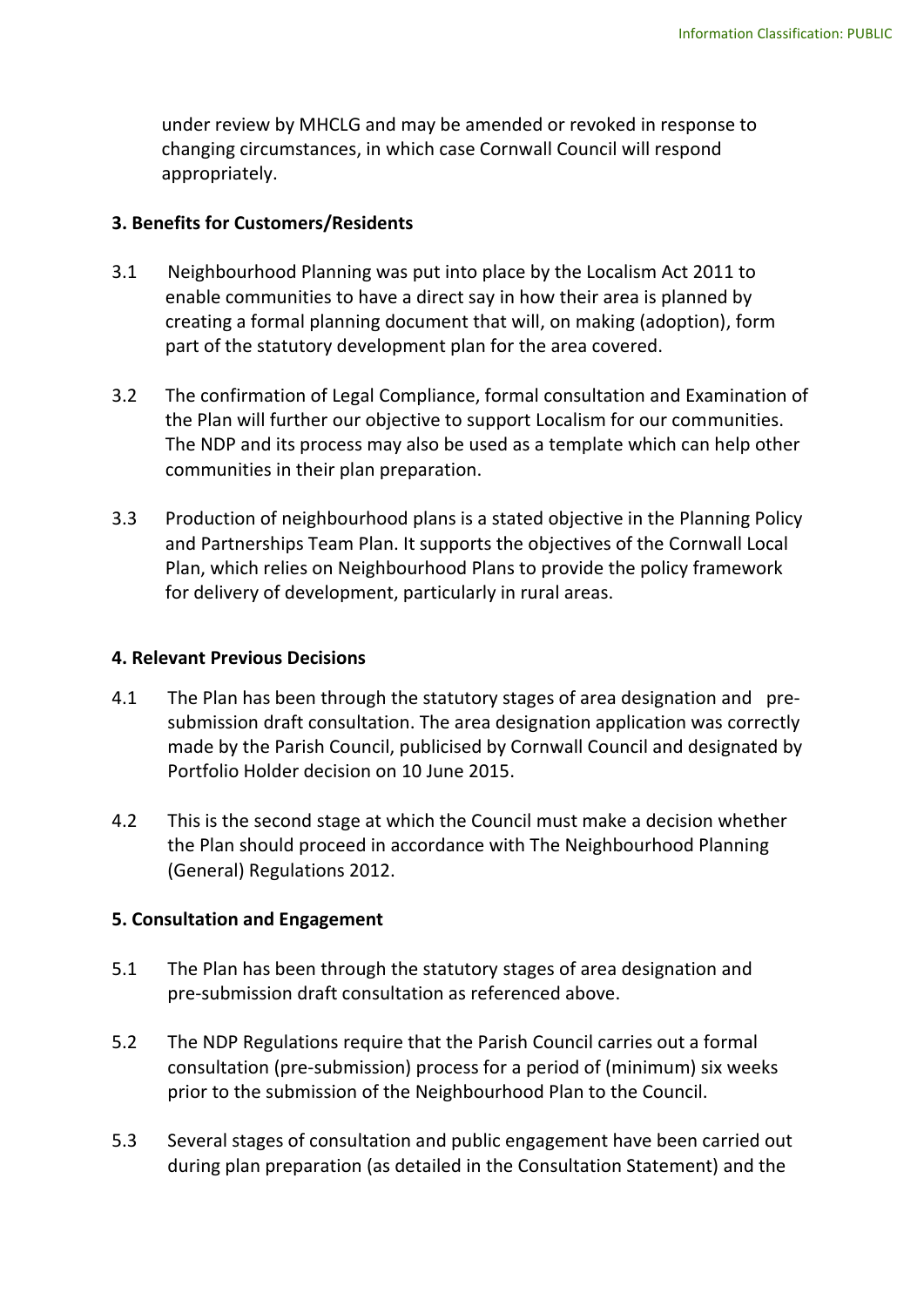under review by MHCLG and may be amended or revoked in response to changing circumstances, in which case Cornwall Council will respond appropriately.

## **3. Benefits for Customers/Residents**

- 3.1 Neighbourhood Planning was put into place by the Localism Act 2011 to enable communities to have a direct say in how their area is planned by creating a formal planning document that will, on making (adoption), form part of the statutory development plan for the area covered.
- 3.2 The confirmation of Legal Compliance, formal consultation and Examination of the Plan will further our objective to support Localism for our communities. The NDP and its process may also be used as a template which can help other communities in their plan preparation.
- 3.3 Production of neighbourhood plans is a stated objective in the Planning Policy and Partnerships Team Plan. It supports the objectives of the Cornwall Local Plan, which relies on Neighbourhood Plans to provide the policy framework for delivery of development, particularly in rural areas.

## **4. Relevant Previous Decisions**

- 4.1 The Plan has been through the statutory stages of area designation and presubmission draft consultation. The area designation application was correctly made by the Parish Council, publicised by Cornwall Council and designated by Portfolio Holder decision on 10 June 2015.
- 4.2 This is the second stage at which the Council must make a decision whether the Plan should proceed in accordance with The Neighbourhood Planning (General) Regulations 2012.

## **5. Consultation and Engagement**

- 5.1 The Plan has been through the statutory stages of area designation and pre-submission draft consultation as referenced above.
- 5.2 The NDP Regulations require that the Parish Council carries out a formal consultation (pre-submission) process for a period of (minimum) six weeks prior to the submission of the Neighbourhood Plan to the Council.
- 5.3 Several stages of consultation and public engagement have been carried out during plan preparation (as detailed in the Consultation Statement) and the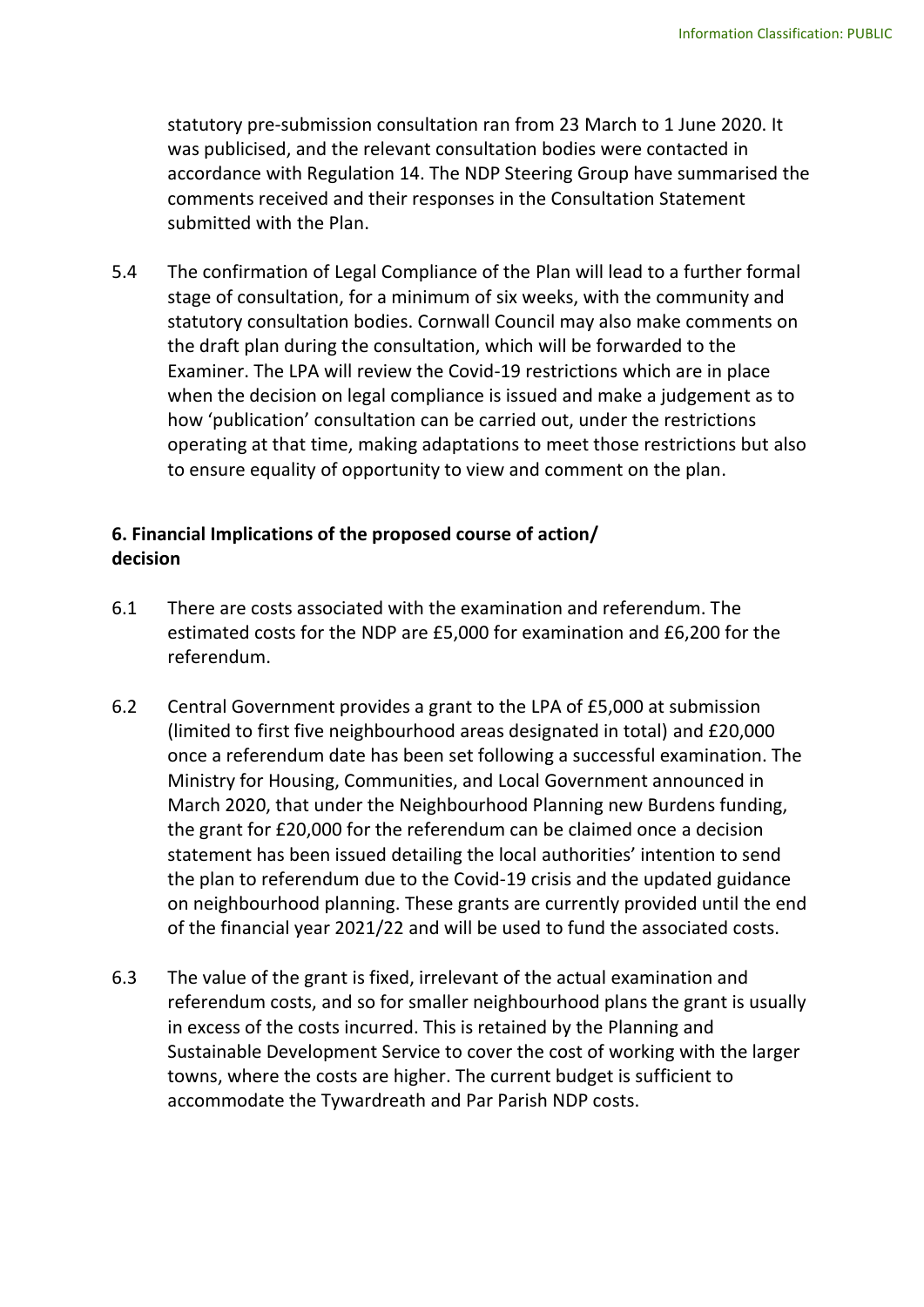statutory pre-submission consultation ran from 23 March to 1 June 2020. It was publicised, and the relevant consultation bodies were contacted in accordance with Regulation 14. The NDP Steering Group have summarised the comments received and their responses in the Consultation Statement submitted with the Plan.

5.4 The confirmation of Legal Compliance of the Plan will lead to a further formal stage of consultation, for a minimum of six weeks, with the community and statutory consultation bodies. Cornwall Council may also make comments on the draft plan during the consultation, which will be forwarded to the Examiner. The LPA will review the Covid-19 restrictions which are in place when the decision on legal compliance is issued and make a judgement as to how 'publication' consultation can be carried out, under the restrictions operating at that time, making adaptations to meet those restrictions but also to ensure equality of opportunity to view and comment on the plan.

## **6. Financial Implications of the proposed course of action/ decision**

- 6.1 There are costs associated with the examination and referendum. The estimated costs for the NDP are £5,000 for examination and £6,200 for the referendum.
- 6.2 Central Government provides a grant to the LPA of £5,000 at submission (limited to first five neighbourhood areas designated in total) and £20,000 once a referendum date has been set following a successful examination. The Ministry for Housing, Communities, and Local Government announced in March 2020, that under the Neighbourhood Planning new Burdens funding, the grant for £20,000 for the referendum can be claimed once a decision statement has been issued detailing the local authorities' intention to send the plan to referendum due to the Covid-19 crisis and the updated guidance on neighbourhood planning. These grants are currently provided until the end of the financial year 2021/22 and will be used to fund the associated costs.
- 6.3 The value of the grant is fixed, irrelevant of the actual examination and referendum costs, and so for smaller neighbourhood plans the grant is usually in excess of the costs incurred. This is retained by the Planning and Sustainable Development Service to cover the cost of working with the larger towns, where the costs are higher. The current budget is sufficient to accommodate the Tywardreath and Par Parish NDP costs.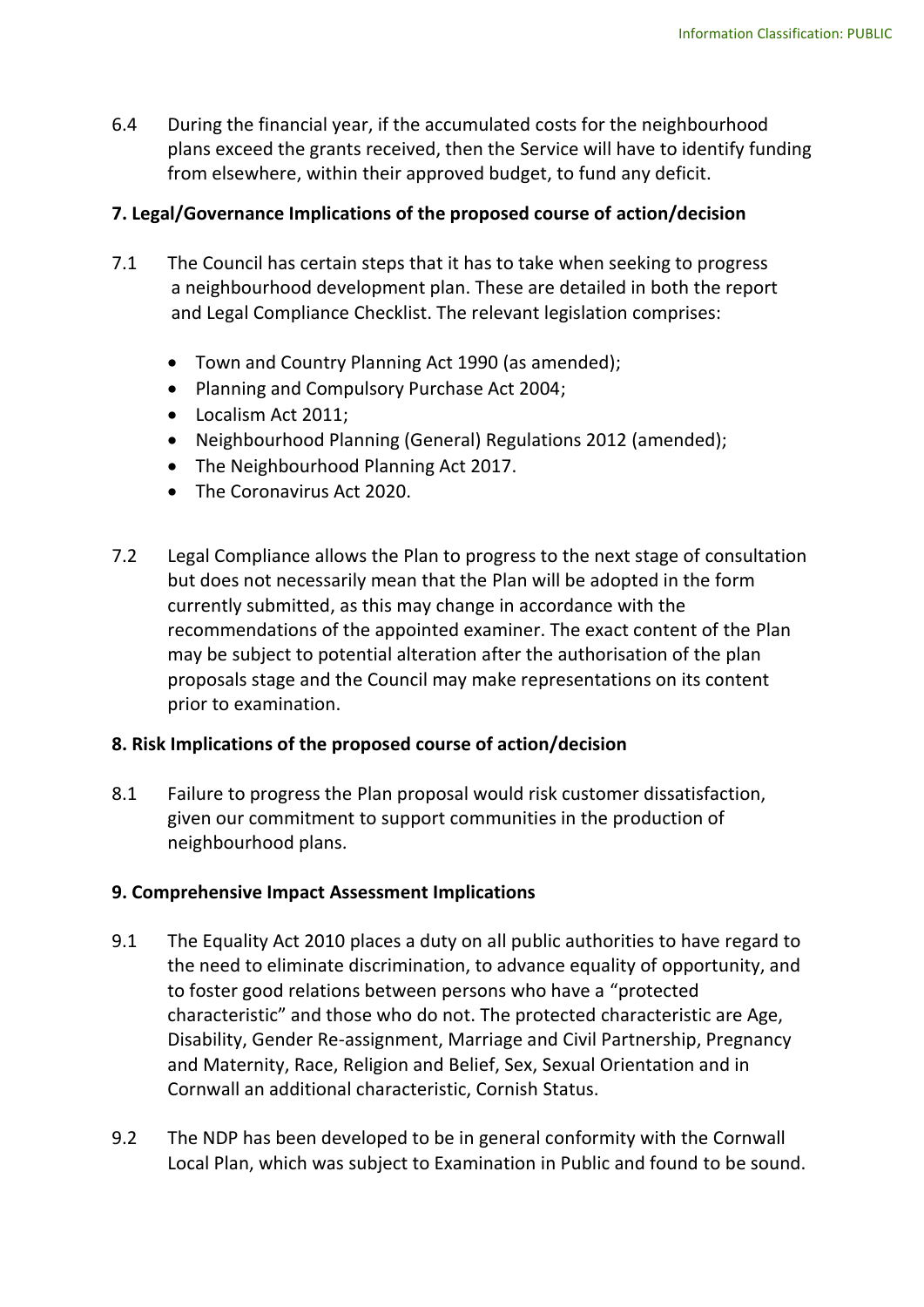6.4 During the financial year, if the accumulated costs for the neighbourhood plans exceed the grants received, then the Service will have to identify funding from elsewhere, within their approved budget, to fund any deficit.

## **7. Legal/Governance Implications of the proposed course of action/decision**

- 7.1 The Council has certain steps that it has to take when seeking to progress a neighbourhood development plan. These are detailed in both the report and Legal Compliance Checklist. The relevant legislation comprises:
	- Town and Country Planning Act 1990 (as amended);
	- Planning and Compulsory Purchase Act 2004;
	- Localism Act 2011;
	- Neighbourhood Planning (General) Regulations 2012 (amended);
	- The Neighbourhood Planning Act 2017.
	- The Coronavirus Act 2020.
- 7.2 Legal Compliance allows the Plan to progress to the next stage of consultation but does not necessarily mean that the Plan will be adopted in the form currently submitted, as this may change in accordance with the recommendations of the appointed examiner. The exact content of the Plan may be subject to potential alteration after the authorisation of the plan proposals stage and the Council may make representations on its content prior to examination.

## **8. Risk Implications of the proposed course of action/decision**

8.1 Failure to progress the Plan proposal would risk customer dissatisfaction, given our commitment to support communities in the production of neighbourhood plans.

## **9. Comprehensive Impact Assessment Implications**

- 9.1 The Equality Act 2010 places a duty on all public authorities to have regard to the need to eliminate discrimination, to advance equality of opportunity, and to foster good relations between persons who have a "protected characteristic" and those who do not. The protected characteristic are Age, Disability, Gender Re-assignment, Marriage and Civil Partnership, Pregnancy and Maternity, Race, Religion and Belief, Sex, Sexual Orientation and in Cornwall an additional characteristic, Cornish Status.
- 9.2 The NDP has been developed to be in general conformity with the Cornwall Local Plan, which was subject to Examination in Public and found to be sound.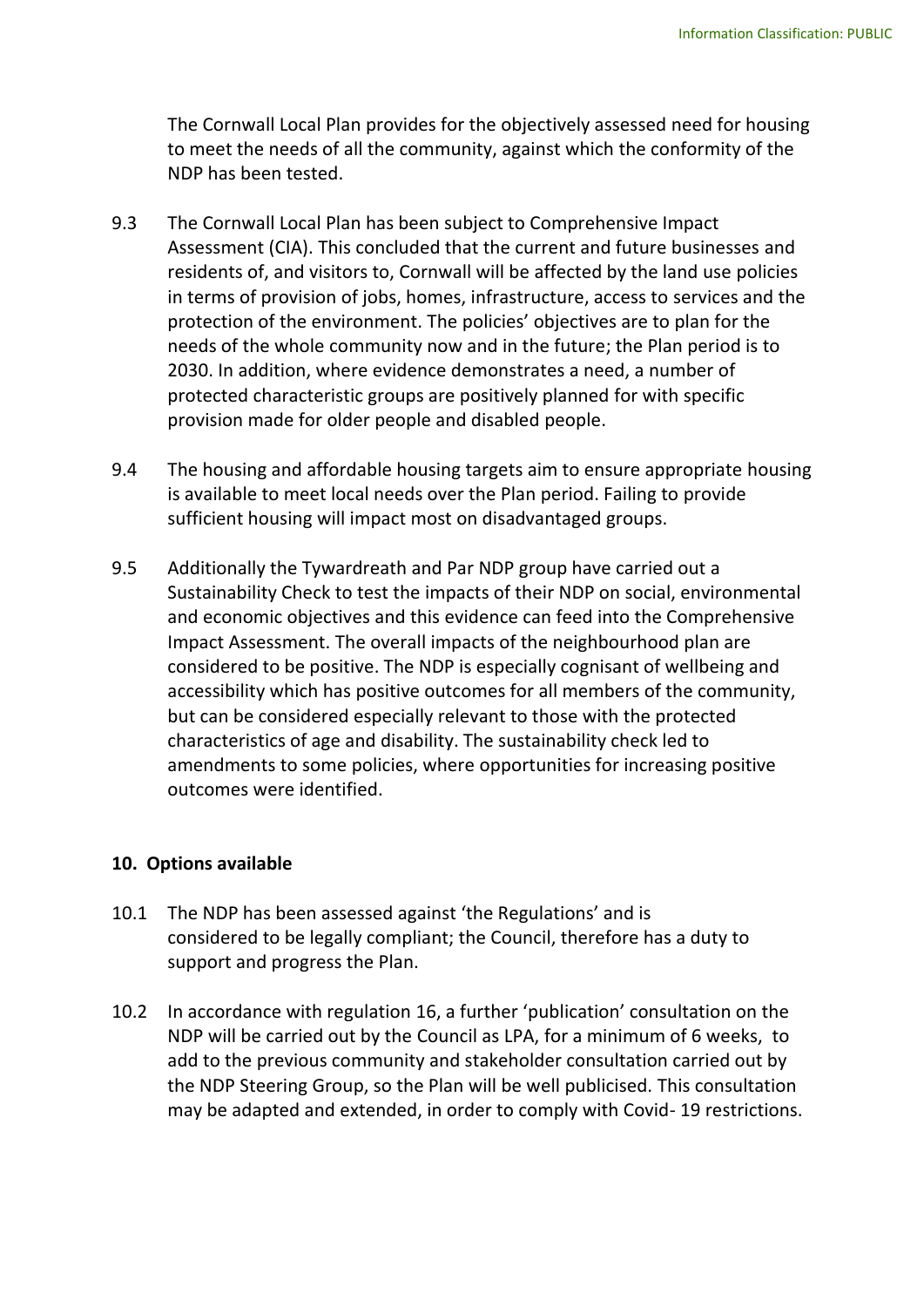The Cornwall Local Plan provides for the objectively assessed need for housing to meet the needs of all the community, against which the conformity of the NDP has been tested.

- 9.3 The Cornwall Local Plan has been subject to Comprehensive Impact Assessment (CIA). This concluded that the current and future businesses and residents of, and visitors to, Cornwall will be affected by the land use policies in terms of provision of jobs, homes, infrastructure, access to services and the protection of the environment. The policies' objectives are to plan for the needs of the whole community now and in the future; the Plan period is to 2030. In addition, where evidence demonstrates a need, a number of protected characteristic groups are positively planned for with specific provision made for older people and disabled people.
- 9.4 The housing and affordable housing targets aim to ensure appropriate housing is available to meet local needs over the Plan period. Failing to provide sufficient housing will impact most on disadvantaged groups.
- 9.5 Additionally the Tywardreath and Par NDP group have carried out a Sustainability Check to test the impacts of their NDP on social, environmental and economic objectives and this evidence can feed into the Comprehensive Impact Assessment. The overall impacts of the neighbourhood plan are considered to be positive. The NDP is especially cognisant of wellbeing and accessibility which has positive outcomes for all members of the community, but can be considered especially relevant to those with the protected characteristics of age and disability. The sustainability check led to amendments to some policies, where opportunities for increasing positive outcomes were identified.

## **10. Options available**

- 10.1 The NDP has been assessed against 'the Regulations' and is considered to be legally compliant; the Council, therefore has a duty to support and progress the Plan.
- 10.2 In accordance with regulation 16, a further 'publication' consultation on the NDP will be carried out by the Council as LPA, for a minimum of 6 weeks, to add to the previous community and stakeholder consultation carried out by the NDP Steering Group, so the Plan will be well publicised. This consultation may be adapted and extended, in order to comply with Covid- 19 restrictions.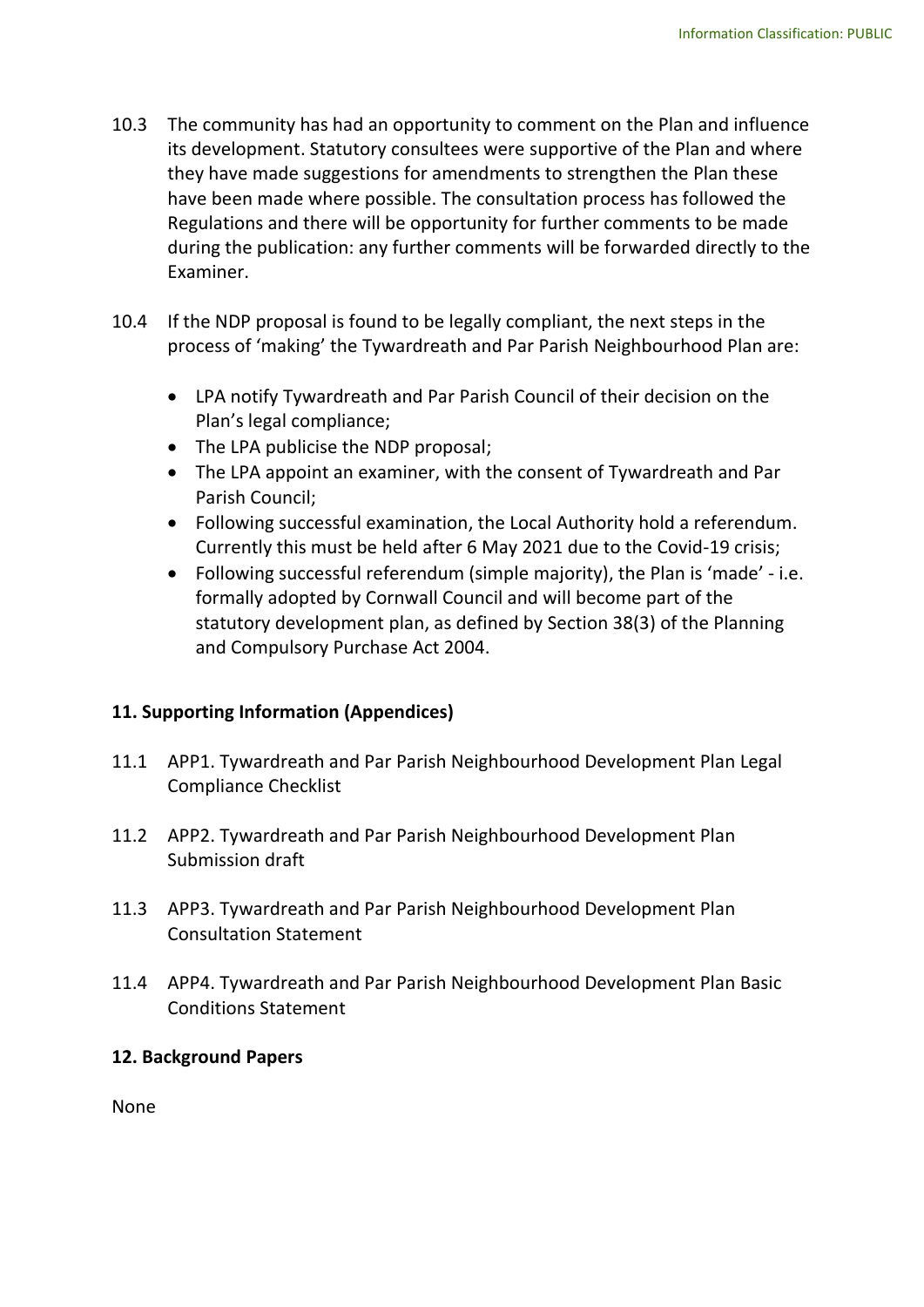- 10.3 The community has had an opportunity to comment on the Plan and influence its development. Statutory consultees were supportive of the Plan and where they have made suggestions for amendments to strengthen the Plan these have been made where possible. The consultation process has followed the Regulations and there will be opportunity for further comments to be made during the publication: any further comments will be forwarded directly to the Examiner.
- 10.4 If the NDP proposal is found to be legally compliant, the next steps in the process of 'making' the Tywardreath and Par Parish Neighbourhood Plan are:
	- LPA notify Tywardreath and Par Parish Council of their decision on the Plan's legal compliance;
	- The LPA publicise the NDP proposal;
	- The LPA appoint an examiner, with the consent of Tywardreath and Par Parish Council;
	- Following successful examination, the Local Authority hold a referendum. Currently this must be held after 6 May 2021 due to the Covid-19 crisis;
	- Following successful referendum (simple majority), the Plan is 'made' i.e. formally adopted by Cornwall Council and will become part of the statutory development plan, as defined by Section 38(3) of the Planning and Compulsory Purchase Act 2004.

## **11. Supporting Information (Appendices)**

- 11.1 APP1. Tywardreath and Par Parish Neighbourhood Development Plan Legal Compliance Checklist
- 11.2 APP2. Tywardreath and Par Parish Neighbourhood Development Plan Submission draft
- 11.3 APP3. Tywardreath and Par Parish Neighbourhood Development Plan Consultation Statement
- 11.4 APP4. Tywardreath and Par Parish Neighbourhood Development Plan Basic Conditions Statement

## **12. Background Papers**

None